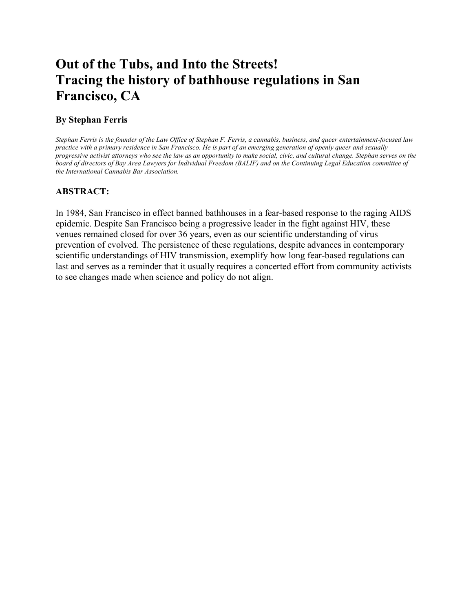# **Out of the Tubs, and Into the Streets! Tracing the history of bathhouse regulations in San Francisco, CA**

## **By Stephan Ferris**

*Stephan Ferris is the founder of the Law Office of Stephan F. Ferris, a cannabis, business, and queer entertainment-focused law practice with a primary residence in San Francisco. He is part of an emerging generation of openly queer and sexually progressive activist attorneys who see the law as an opportunity to make social, civic, and cultural change. Stephan serves on the board of directors of Bay Area Lawyers for Individual Freedom (BALIF) and on the Continuing Legal Education committee of the International Cannabis Bar Association.*

# **ABSTRACT:**

In 1984, San Francisco in effect banned bathhouses in a fear-based response to the raging AIDS epidemic. Despite San Francisco being a progressive leader in the fight against HIV, these venues remained closed for over 36 years, even as our scientific understanding of virus prevention of evolved. The persistence of these regulations, despite advances in contemporary scientific understandings of HIV transmission, exemplify how long fear-based regulations can last and serves as a reminder that it usually requires a concerted effort from community activists to see changes made when science and policy do not align.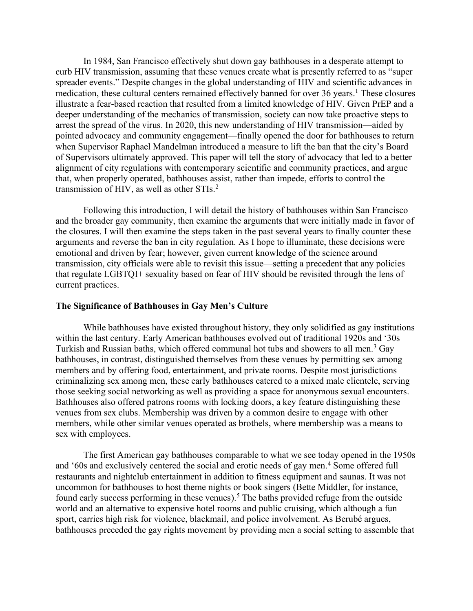In 1984, San Francisco effectively shut down gay bathhouses in a desperate attempt to curb HIV transmission, assuming that these venues create what is presently referred to as "super spreader events." Despite changes in the global understanding of HIV and scientific advances in medication, these cultural centers remained effectively banned for over 36 years. <sup>1</sup> These closures illustrate a fear-based reaction that resulted from a limited knowledge of HIV. Given PrEP and a deeper understanding of the mechanics of transmission, society can now take proactive steps to arrest the spread of the virus. In 2020, this new understanding of HIV transmission—aided by pointed advocacy and community engagement—finally opened the door for bathhouses to return when Supervisor Raphael Mandelman introduced a measure to lift the ban that the city's Board of Supervisors ultimately approved. This paper will tell the story of advocacy that led to a better alignment of city regulations with contemporary scientific and community practices, and argue that, when properly operated, bathhouses assist, rather than impede, efforts to control the transmission of HIV, as well as other STIs.<sup>2</sup>

Following this introduction, I will detail the history of bathhouses within San Francisco and the broader gay community, then examine the arguments that were initially made in favor of the closures. I will then examine the steps taken in the past several years to finally counter these arguments and reverse the ban in city regulation. As I hope to illuminate, these decisions were emotional and driven by fear; however, given current knowledge of the science around transmission, city officials were able to revisit this issue—setting a precedent that any policies that regulate LGBTQI+ sexuality based on fear of HIV should be revisited through the lens of current practices.

#### **The Significance of Bathhouses in Gay Men's Culture**

 While bathhouses have existed throughout history, they only solidified as gay institutions within the last century. Early American bathhouses evolved out of traditional 1920s and '30s Turkish and Russian baths, which offered communal hot tubs and showers to all men.<sup>3</sup> Gay bathhouses, in contrast, distinguished themselves from these venues by permitting sex among members and by offering food, entertainment, and private rooms. Despite most jurisdictions criminalizing sex among men, these early bathhouses catered to a mixed male clientele, serving those seeking social networking as well as providing a space for anonymous sexual encounters. Bathhouses also offered patrons rooms with locking doors, a key feature distinguishing these venues from sex clubs. Membership was driven by a common desire to engage with other members, while other similar venues operated as brothels, where membership was a means to sex with employees.

The first American gay bathhouses comparable to what we see today opened in the 1950s and '60s and exclusively centered the social and erotic needs of gay men. <sup>4</sup> Some offered full restaurants and nightclub entertainment in addition to fitness equipment and saunas. It was not uncommon for bathhouses to host theme nights or book singers (Bette Middler, for instance, found early success performing in these venues). <sup>5</sup> The baths provided refuge from the outside world and an alternative to expensive hotel rooms and public cruising, which although a fun sport, carries high risk for violence, blackmail, and police involvement. As Berubé argues, bathhouses preceded the gay rights movement by providing men a social setting to assemble that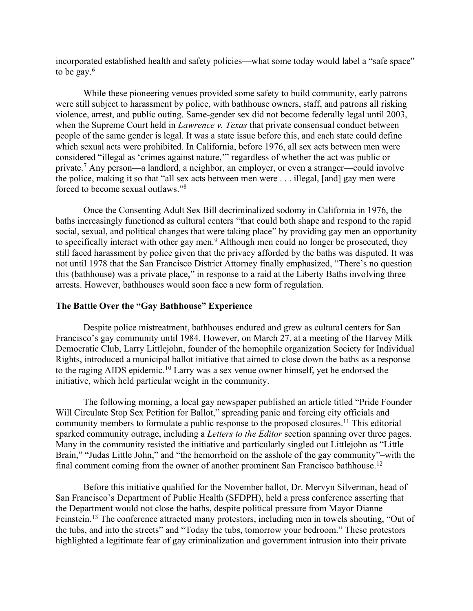incorporated established health and safety policies—what some today would label a "safe space" to be gay. 6

While these pioneering venues provided some safety to build community, early patrons were still subject to harassment by police, with bathhouse owners, staff, and patrons all risking violence, arrest, and public outing. Same-gender sex did not become federally legal until 2003, when the Supreme Court held in *Lawrence v. Texas* that private consensual conduct between people of the same gender is legal. It was a state issue before this, and each state could define which sexual acts were prohibited. In California, before 1976, all sex acts between men were considered "illegal as 'crimes against nature,'" regardless of whether the act was public or private. <sup>7</sup> Any person—a landlord, a neighbor, an employer, or even a stranger—could involve the police, making it so that "all sex acts between men were . . . illegal, [and] gay men were forced to become sexual outlaws." 8

Once the Consenting Adult Sex Bill decriminalized sodomy in California in 1976, the baths increasingly functioned as cultural centers "that could both shape and respond to the rapid social, sexual, and political changes that were taking place" by providing gay men an opportunity to specifically interact with other gay men.<sup>9</sup> Although men could no longer be prosecuted, they still faced harassment by police given that the privacy afforded by the baths was disputed. It was not until 1978 that the San Francisco District Attorney finally emphasized, "There's no question this (bathhouse) was a private place," in response to a raid at the Liberty Baths involving three arrests. However, bathhouses would soon face a new form of regulation.

## **The Battle Over the "Gay Bathhouse" Experience**

 Despite police mistreatment, bathhouses endured and grew as cultural centers for San Francisco's gay community until 1984. However, on March 27, at a meeting of the Harvey Milk Democratic Club, Larry Littlejohn, founder of the homophile organization Society for Individual Rights, introduced a municipal ballot initiative that aimed to close down the baths as a response to the raging AIDS epidemic. <sup>10</sup> Larry was a sex venue owner himself, yet he endorsed the initiative, which held particular weight in the community.

The following morning, a local gay newspaper published an article titled "Pride Founder Will Circulate Stop Sex Petition for Ballot," spreading panic and forcing city officials and community members to formulate a public response to the proposed closures.<sup>11</sup> This editorial sparked community outrage, including a *Letters to the Editor* section spanning over three pages. Many in the community resisted the initiative and particularly singled out Littlejohn as "Little Brain," "Judas Little John," and "the hemorrhoid on the asshole of the gay community"–with the final comment coming from the owner of another prominent San Francisco bathhouse.<sup>12</sup>

 Before this initiative qualified for the November ballot, Dr. Mervyn Silverman, head of San Francisco's Department of Public Health (SFDPH), held a press conference asserting that the Department would not close the baths, despite political pressure from Mayor Dianne Feinstein.<sup>13</sup> The conference attracted many protestors, including men in towels shouting, "Out of the tubs, and into the streets" and "Today the tubs, tomorrow your bedroom." These protestors highlighted a legitimate fear of gay criminalization and government intrusion into their private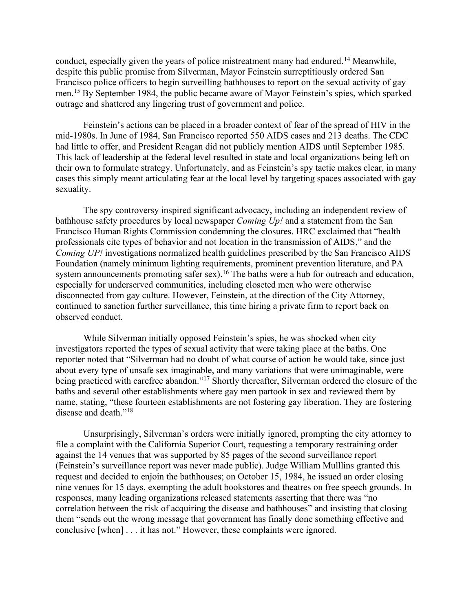conduct, especially given the years of police mistreatment many had endured. <sup>14</sup> Meanwhile, despite this public promise from Silverman, Mayor Feinstein surreptitiously ordered San Francisco police officers to begin surveilling bathhouses to report on the sexual activity of gay men.<sup>15</sup> By September 1984, the public became aware of Mayor Feinstein's spies, which sparked outrage and shattered any lingering trust of government and police.

 Feinstein's actions can be placed in a broader context of fear of the spread of HIV in the mid-1980s. In June of 1984, San Francisco reported 550 AIDS cases and 213 deaths. The CDC had little to offer, and President Reagan did not publicly mention AIDS until September 1985. This lack of leadership at the federal level resulted in state and local organizations being left on their own to formulate strategy. Unfortunately, and as Feinstein's spy tactic makes clear, in many cases this simply meant articulating fear at the local level by targeting spaces associated with gay sexuality.

The spy controversy inspired significant advocacy, including an independent review of bathhouse safety procedures by local newspaper *Coming Up!* and a statement from the San Francisco Human Rights Commission condemning the closures. HRC exclaimed that "health professionals cite types of behavior and not location in the transmission of AIDS," and the *Coming UP!* investigations normalized health guidelines prescribed by the San Francisco AIDS Foundation (namely minimum lighting requirements, prominent prevention literature, and PA system announcements promoting safer sex).<sup>16</sup> The baths were a hub for outreach and education, especially for underserved communities, including closeted men who were otherwise disconnected from gay culture. However, Feinstein, at the direction of the City Attorney, continued to sanction further surveillance, this time hiring a private firm to report back on observed conduct.

 While Silverman initially opposed Feinstein's spies, he was shocked when city investigators reported the types of sexual activity that were taking place at the baths. One reporter noted that "Silverman had no doubt of what course of action he would take, since just about every type of unsafe sex imaginable, and many variations that were unimaginable, were being practiced with carefree abandon." <sup>17</sup> Shortly thereafter, Silverman ordered the closure of the baths and several other establishments where gay men partook in sex and reviewed them by name, stating, "these fourteen establishments are not fostering gay liberation. They are fostering disease and death."<sup>18</sup>

Unsurprisingly, Silverman's orders were initially ignored, prompting the city attorney to file a complaint with the California Superior Court, requesting a temporary restraining order against the 14 venues that was supported by 85 pages of the second surveillance report (Feinstein's surveillance report was never made public). Judge William Mulllins granted this request and decided to enjoin the bathhouses; on October 15, 1984, he issued an order closing nine venues for 15 days, exempting the adult bookstores and theatres on free speech grounds. In responses, many leading organizations released statements asserting that there was "no correlation between the risk of acquiring the disease and bathhouses" and insisting that closing them "sends out the wrong message that government has finally done something effective and conclusive [when] . . . it has not." However, these complaints were ignored.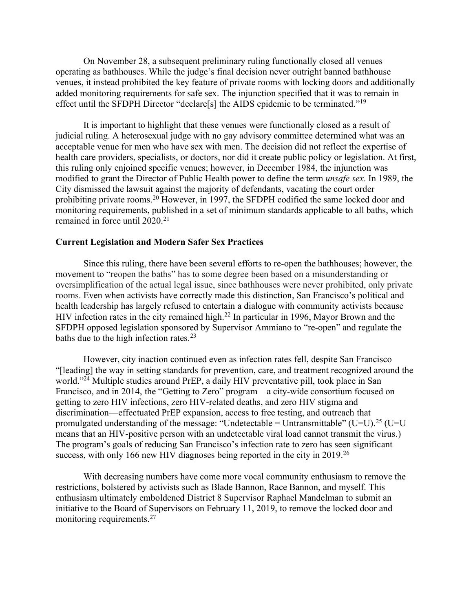On November 28, a subsequent preliminary ruling functionally closed all venues operating as bathhouses. While the judge's final decision never outright banned bathhouse venues, it instead prohibited the key feature of private rooms with locking doors and additionally added monitoring requirements for safe sex. The injunction specified that it was to remain in effect until the SFDPH Director "declare<sup>[s]</sup> the AIDS epidemic to be terminated."<sup>19</sup>

It is important to highlight that these venues were functionally closed as a result of judicial ruling. A heterosexual judge with no gay advisory committee determined what was an acceptable venue for men who have sex with men. The decision did not reflect the expertise of health care providers, specialists, or doctors, nor did it create public policy or legislation. At first, this ruling only enjoined specific venues; however, in December 1984, the injunction was modified to grant the Director of Public Health power to define the term *unsafe sex*. In 1989, the City dismissed the lawsuit against the majority of defendants, vacating the court order prohibiting private rooms.<sup>20</sup> However, in 1997, the SFDPH codified the same locked door and monitoring requirements, published in a set of minimum standards applicable to all baths, which remained in force until 2020.<sup>21</sup>

## **Current Legislation and Modern Safer Sex Practices**

Since this ruling, there have been several efforts to re-open the bathhouses; however, the movement to "reopen the baths" has to some degree been based on a misunderstanding or oversimplification of the actual legal issue, since bathhouses were never prohibited, only private rooms. Even when activists have correctly made this distinction, San Francisco's political and health leadership has largely refused to entertain a dialogue with community activists because HIV infection rates in the city remained high.<sup>22</sup> In particular in 1996, Mayor Brown and the SFDPH opposed legislation sponsored by Supervisor Ammiano to "re-open" and regulate the baths due to the high infection rates.<sup>23</sup>

However, city inaction continued even as infection rates fell, despite San Francisco "[leading] the way in setting standards for prevention, care, and treatment recognized around the world."<sup>24</sup> Multiple studies around PrEP, a daily HIV preventative pill, took place in San Francisco, and in 2014, the "Getting to Zero" program—a city-wide consortium focused on getting to zero HIV infections, zero HIV-related deaths, and zero HIV stigma and discrimination—effectuated PrEP expansion, access to free testing, and outreach that promulgated understanding of the message: "Undetectable = Untransmittable" (U=U).<sup>25</sup> (U=U means that an HIV-positive person with an undetectable viral load cannot transmit the virus.) The program's goals of reducing San Francisco's infection rate to zero has seen significant success, with only 166 new HIV diagnoses being reported in the city in 2019.<sup>26</sup>

With decreasing numbers have come more vocal community enthusiasm to remove the restrictions, bolstered by activists such as Blade Bannon, Race Bannon, and myself. This enthusiasm ultimately emboldened District 8 Supervisor Raphael Mandelman to submit an initiative to the Board of Supervisors on February 11, 2019, to remove the locked door and monitoring requirements.<sup>27</sup>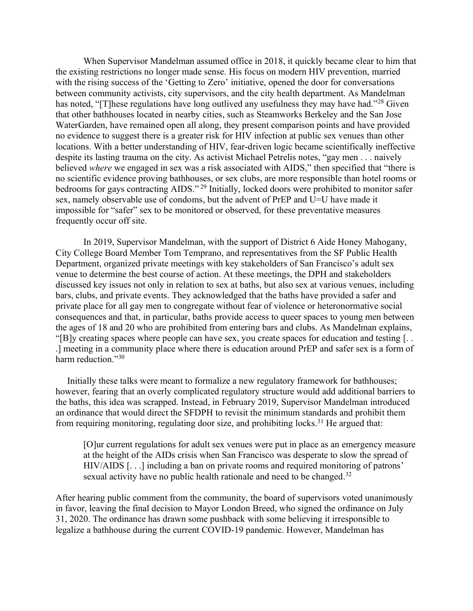When Supervisor Mandelman assumed office in 2018, it quickly became clear to him that the existing restrictions no longer made sense. His focus on modern HIV prevention, married with the rising success of the 'Getting to Zero' initiative, opened the door for conversations between community activists, city supervisors, and the city health department. As Mandelman has noted, "[T]hese regulations have long outlived any usefulness they may have had."<sup>28</sup> Given that other bathhouses located in nearby cities, such as Steamworks Berkeley and the San Jose WaterGarden, have remained open all along, they present comparison points and have provided no evidence to suggest there is a greater risk for HIV infection at public sex venues than other locations. With a better understanding of HIV, fear-driven logic became scientifically ineffective despite its lasting trauma on the city. As activist Michael Petrelis notes, "gay men . . . naively believed *where* we engaged in sex was a risk associated with AIDS," then specified that "there is no scientific evidence proving bathhouses, or sex clubs, are more responsible than hotel rooms or bedrooms for gays contracting AIDS."<sup>29</sup> Initially, locked doors were prohibited to monitor safer sex, namely observable use of condoms, but the advent of PrEP and U=U have made it impossible for "safer" sex to be monitored or observed, for these preventative measures frequently occur off site.

In 2019, Supervisor Mandelman, with the support of District 6 Aide Honey Mahogany, City College Board Member Tom Temprano, and representatives from the SF Public Health Department, organized private meetings with key stakeholders of San Francisco's adult sex venue to determine the best course of action. At these meetings, the DPH and stakeholders discussed key issues not only in relation to sex at baths, but also sex at various venues, including bars, clubs, and private events. They acknowledged that the baths have provided a safer and private place for all gay men to congregate without fear of violence or heteronormative social consequences and that, in particular, baths provide access to queer spaces to young men between the ages of 18 and 20 who are prohibited from entering bars and clubs. As Mandelman explains, "[B]y creating spaces where people can have sex, you create spaces for education and testing [. . .] meeting in a community place where there is education around PrEP and safer sex is a form of harm reduction."30

 Initially these talks were meant to formalize a new regulatory framework for bathhouses; however, fearing that an overly complicated regulatory structure would add additional barriers to the baths, this idea was scrapped. Instead, in February 2019, Supervisor Mandelman introduced an ordinance that would direct the SFDPH to revisit the minimum standards and prohibit them from requiring monitoring, regulating door size, and prohibiting locks.<sup>31</sup> He argued that:

[O]ur current regulations for adult sex venues were put in place as an emergency measure at the height of the AIDs crisis when San Francisco was desperate to slow the spread of HIV/AIDS [. . .] including a ban on private rooms and required monitoring of patrons' sexual activity have no public health rationale and need to be changed.<sup>32</sup>

After hearing public comment from the community, the board of supervisors voted unanimously in favor, leaving the final decision to Mayor London Breed, who signed the ordinance on July 31, 2020. The ordinance has drawn some pushback with some believing it irresponsible to legalize a bathhouse during the current COVID-19 pandemic. However, Mandelman has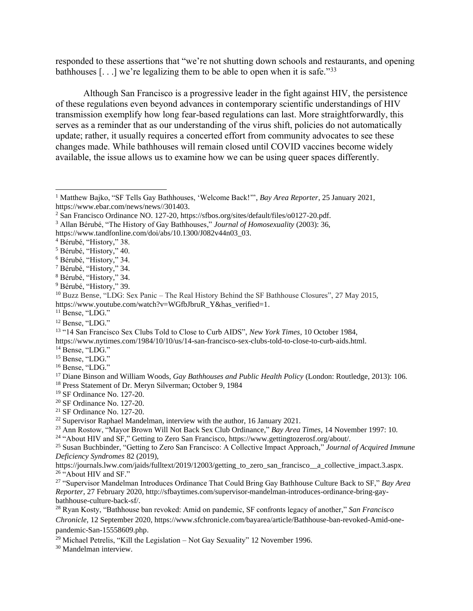responded to these assertions that "we're not shutting down schools and restaurants, and opening bathhouses  $[\dots]$  we're legalizing them to be able to open when it is safe."<sup>33</sup>

Although San Francisco is a progressive leader in the fight against HIV, the persistence of these regulations even beyond advances in contemporary scientific understandings of HIV transmission exemplify how long fear-based regulations can last. More straightforwardly, this serves as a reminder that as our understanding of the virus shift, policies do not automatically update; rather, it usually requires a concerted effort from community advocates to see these changes made. While bathhouses will remain closed until COVID vaccines become widely available, the issue allows us to examine how we can be using queer spaces differently.

<sup>4</sup> Bérubé, "History," 38.

<sup>6</sup> Bérubé, "History," 34.

https://www.nytimes.com/1984/10/10/us/14-san-francisco-sex-clubs-told-to-close-to-curb-aids.html.

- <sup>14</sup> Bense, "LDG."
- <sup>15</sup> Bense, "LDG."
- <sup>16</sup> Bense, "LDG."

<sup>18</sup> Press Statement of Dr. Meryn Silverman; October 9, 1984

 $22$  Supervisor Raphael Mandelman, interview with the author, 16 January 2021.

<sup>24</sup> "About HIV and SF," Getting to Zero San Francisco, https://www.gettingtozerosf.org/about/.

https://journals.lww.com/jaids/fulltext/2019/12003/getting\_to\_zero\_san\_francisco\_\_a\_collective\_impact.3.aspx. <sup>26</sup> "About HIV and SF."

<sup>29</sup> Michael Petrelis, "Kill the Legislation – Not Gay Sexuality" 12 November 1996.

<sup>30</sup> Mandelman interview.

<sup>1</sup> Matthew Bajko, "SF Tells Gay Bathhouses, 'Welcome Back!'", *Bay Area Reporter*, 25 January 2021, https://www.ebar.com/news/news//301403.

<sup>2</sup> San Francisco Ordinance NO. 127-20, https://sfbos.org/sites/default/files/o0127-20.pdf.

<sup>3</sup> Allan Bérubé, "The History of Gay Bathhouses," *Journal of Homosexuality* (2003): 36,

https://www.tandfonline.com/doi/abs/10.1300/J082v44n03\_03.

<sup>5</sup> Bérubé, "History," 40.

<sup>7</sup> Bérubé, "History," 34.

<sup>8</sup> Bérubé, "History," 34.

<sup>&</sup>lt;sup>9</sup> Bérubé, "History," 39.

<sup>10</sup> Buzz Bense, "LDG: Sex Panic – The Real History Behind the SF Bathhouse Closures", 27 May 2015, https://www.youtube.com/watch?v=WGfbJbruR\_Y&has\_verified=1.

<sup>&</sup>lt;sup>11</sup> Bense, "LDG."

<sup>&</sup>lt;sup>12</sup> Bense, "LDG."

<sup>13</sup> "14 San Francisco Sex Clubs Told to Close to Curb AIDS", *New York Times,* 10 October 1984,

<sup>17</sup> Diane Binson and William Woods, *Gay Bathhouses and Public Health Policy* (London: Routledge, 2013): 106.

<sup>19</sup> SF Ordinance No. 127-20.

<sup>20</sup> SF Ordinance No. 127-20.

<sup>21</sup> SF Ordinance No. 127-20.

<sup>23</sup> Ann Rostow, "Mayor Brown Will Not Back Sex Club Ordinance," *Bay Area Times*, 14 November 1997: 10.

<sup>25</sup> Susan Buchbinder, "Getting to Zero San Francisco: A Collective Impact Approach," *Journal of Acquired Immune Deficiency Syndromes* 82 (2019),

<sup>27</sup> "Supervisor Mandelman Introduces Ordinance That Could Bring Gay Bathhouse Culture Back to SF," *Bay Area Reporter*, 27 February 2020, http://sfbaytimes.com/supervisor-mandelman-introduces-ordinance-bring-gaybathhouse-culture-back-sf/.

<sup>28</sup> Ryan Kosty, "Bathhouse ban revoked: Amid on pandemic, SF confronts legacy of another," *San Francisco Chronicle,* 12 September 2020, https://www.sfchronicle.com/bayarea/article/Bathhouse-ban-revoked-Amid-onepandemic-San-15558609.php.